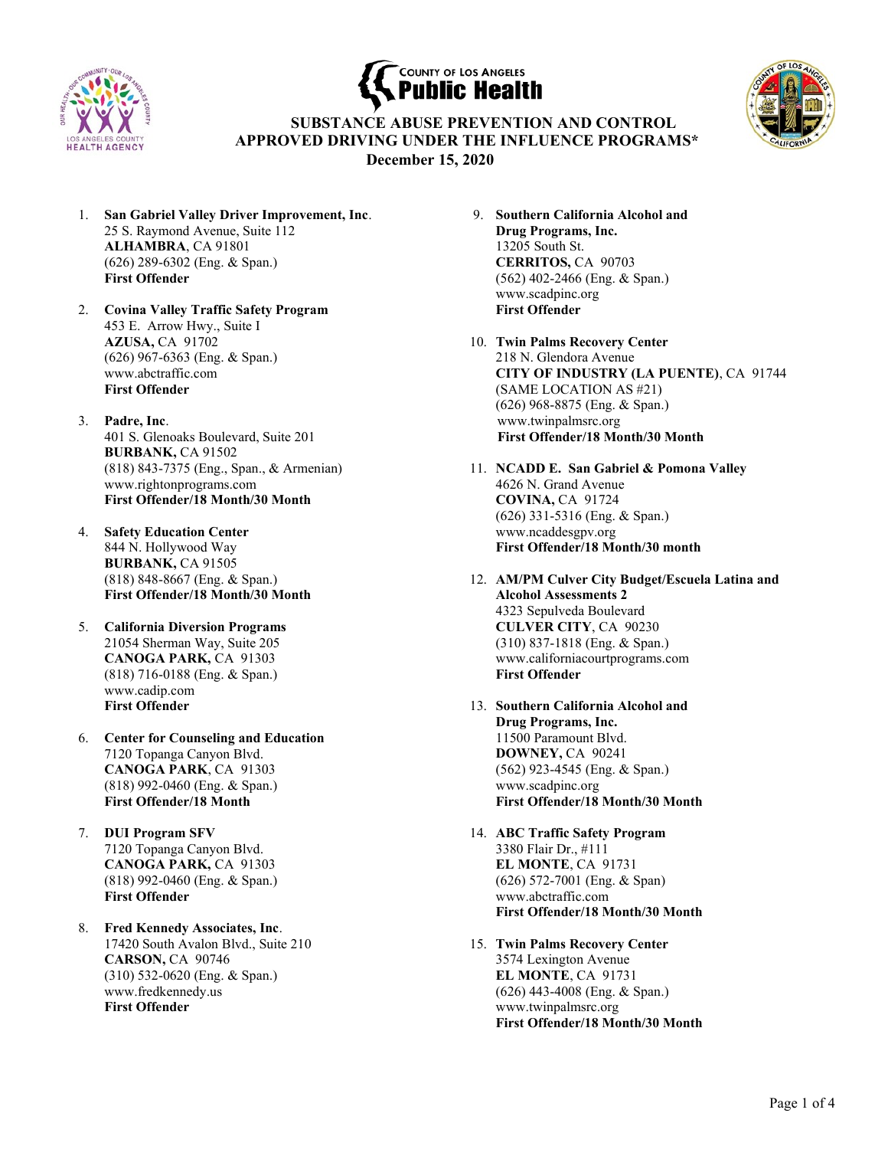





 SUBSTANCE ABUSE PREVENTION AND CONTROL APPROVED DRIVING UNDER THE INFLUENCE PROGRAMS\* December 1**5**, 2020

- 1. San Gabriel Valley Driver Improvement, Inc. 25 S. Raymond Avenue, Suite 112 ALHAMBRA, CA 91801 (626) 289-6302 (Eng. & Span.) First Offender
- 2. Covina Valley Traffic Safety Program 453 E. Arrow Hwy., Suite I AZUSA, CA 91702 (626) 967-6363 (Eng. & Span.) www.abctraffic.com First Offender
- 3. Padre, Inc. 401 S. Glenoaks Boulevard, Suite 201 BURBANK, CA 91502 (818) 843-7375 (Eng., Span., & Armenian) www.rightonprograms.com First Offender/18 Month/30 Month
- 4. Safety Education Center 844 N. Hollywood Way BURBANK, CA 91505 (818) 848-8667 (Eng. & Span.) First Offender/18 Month/30 Month
- 5. California Diversion Programs 21054 Sherman Way, Suite 205 CANOGA PARK, CA 91303 (818) 716-0188 (Eng. & Span.) www.cadip.com First Offender
- 6. Center for Counseling and Education 7120 Topanga Canyon Blvd. CANOGA PARK, CA 91303 (818) 992-0460 (Eng. & Span.) First Offender/18 Month
- 7. DUI Program SFV 7120 Topanga Canyon Blvd. CANOGA PARK, CA 91303 (818) 992-0460 (Eng. & Span.) First Offender
- 8. Fred Kennedy Associates, Inc. 17420 South Avalon Blvd., Suite 210 CARSON, CA 90746 (310) 532-0620 (Eng. & Span.) www.fredkennedy.us First Offender
- 9. Southern California Alcohol and Drug Programs, Inc. 13205 South St. CERRITOS, CA 90703 (562) 402-2466 (Eng. & Span.) www.scadpinc.org First Offender
- 10. Twin Palms Recovery Center 218 N. Glendora Avenue CITY OF INDUSTRY (LA PUENTE), CA 91744 (SAME LOCATION AS #21) (626) 968-8875 (Eng. & Span.) www.twinpalmsrc.org First Offender/18 Month/30 Month
- 11. NCADD E. San Gabriel & Pomona Valley 4626 N. Grand Avenue COVINA, CA 91724 (626) 331-5316 (Eng. & Span.) www.ncaddesgpv.org First Offender/18 Month/30 month
- 12. AM/PM Culver City Budget/Escuela Latina and Alcohol Assessments 2 4323 Sepulveda Boulevard CULVER CITY, CA 90230 (310) 837-1818 (Eng. & Span.) www.californiacourtprograms.com First Offender
- 13. Southern California Alcohol and Drug Programs, Inc. 11500 Paramount Blvd. DOWNEY, CA 90241 (562) 923-4545 (Eng. & Span.) www.scadpinc.org First Offender/18 Month/30 Month
- 14. ABC Traffic Safety Program 3380 Flair Dr., #111 EL MONTE, CA 91731 (626) 572-7001 (Eng. & Span) www.abctraffic.com First Offender/18 Month/30 Month
- 15. Twin Palms Recovery Center 3574 Lexington Avenue EL MONTE, CA 91731 (626) 443-4008 (Eng. & Span.) www.twinpalmsrc.org First Offender/18 Month/30 Month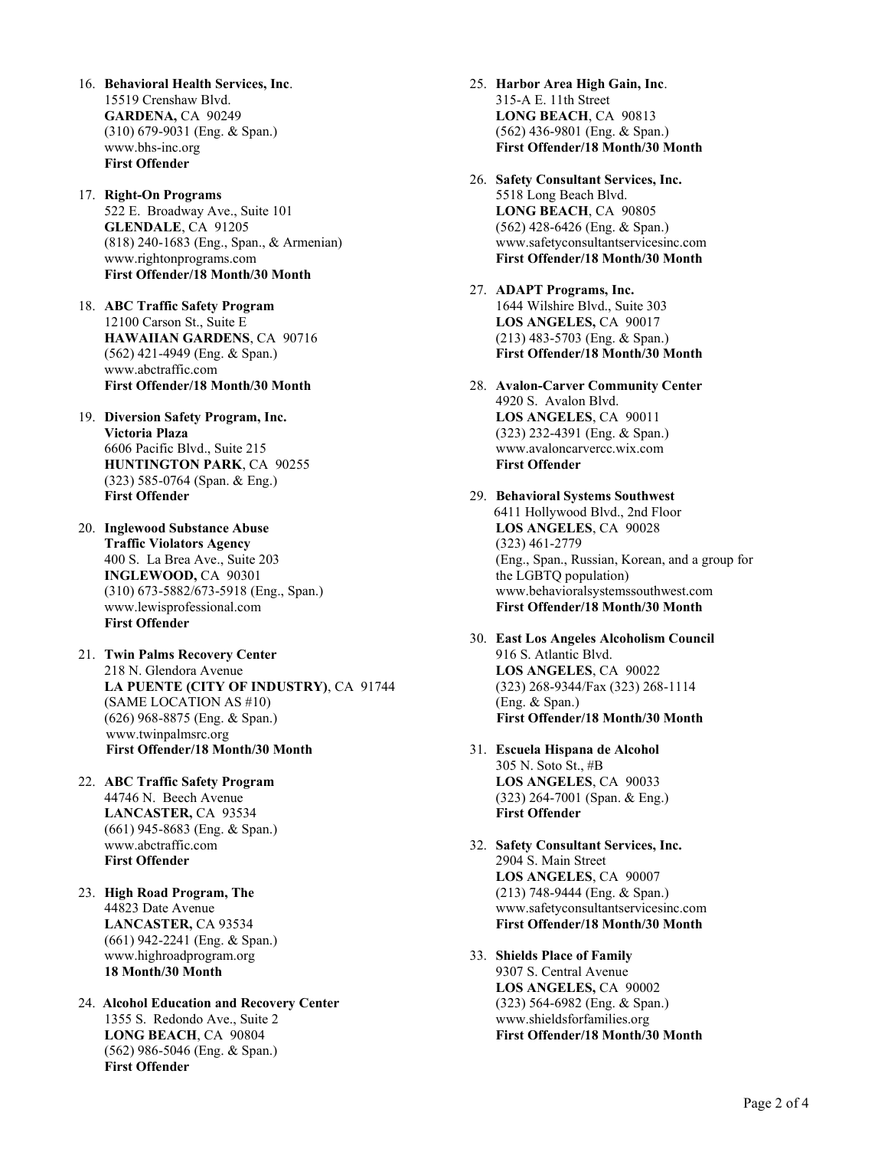- 16. Behavioral Health Services, Inc. 15519 Crenshaw Blvd. GARDENA, CA 90249 (310) 679-9031 (Eng. & Span.) www.bhs-inc.org First Offender
- 17. Right-On Programs 522 E. Broadway Ave., Suite 101 GLENDALE, CA 91205 (818) 240-1683 (Eng., Span., & Armenian) www.rightonprograms.com First Offender/18 Month/30 Month
- 18. ABC Traffic Safety Program 12100 Carson St., Suite E HAWAIIAN GARDENS, CA 90716 (562) 421-4949 (Eng. & Span.) www.abctraffic.com First Offender/18 Month/30 Month
- 19. Diversion Safety Program, Inc. Victoria Plaza 6606 Pacific Blvd., Suite 215 HUNTINGTON PARK, CA 90255 (323) 585-0764 (Span. & Eng.) First Offender
- 20. Inglewood Substance Abuse Traffic Violators Agency 400 S. La Brea Ave., Suite 203 INGLEWOOD, CA 90301 (310) 673-5882/673-5918 (Eng., Span.) www.lewisprofessional.com First Offender
- 21. Twin Palms Recovery Center 218 N. Glendora Avenue LA PUENTE (CITY OF INDUSTRY), CA 91744 (SAME LOCATION AS #10) (626) 968-8875 (Eng. & Span.) www.twinpalmsrc.org First Offender/18 Month/30 Month
- 22. ABC Traffic Safety Program 44746 N. Beech Avenue LANCASTER, CA 93534 (661) 945-8683 (Eng. & Span.) www.abctraffic.com First Offender
- 23. High Road Program, The 44823 Date Avenue LANCASTER, CA 93534 (661) 942-2241 (Eng. & Span.) www.highroadprogram.org 18 Month/30 Month
- 24. Alcohol Education and Recovery Center 1355 S. Redondo Ave., Suite 2 LONG BEACH, CA 90804 (562) 986-5046 (Eng. & Span.) First Offender
- 25. Harbor Area High Gain, Inc. 315-A E. 11th Street LONG BEACH, CA 90813 (562) 436-9801 (Eng. & Span.) First Offender/18 Month/30 Month
- 26. Safety Consultant Services, Inc. 5518 Long Beach Blvd. LONG BEACH, CA 90805 (562) 428-6426 (Eng. & Span.) www.safetyconsultantservicesinc.com First Offender/18 Month/30 Month
- 27. ADAPT Programs, Inc. 1644 Wilshire Blvd., Suite 303 LOS ANGELES, CA 90017 (213) 483-5703 (Eng. & Span.) First Offender/18 Month/30 Month
- 28. Avalon-Carver Community Center 4920 S. Avalon Blvd. LOS ANGELES, CA 90011 (323) 232-4391 (Eng. & Span.) www.avaloncarvercc.wix.com First Offender
- 29. Behavioral Systems Southwest 6411 Hollywood Blvd., 2nd Floor LOS ANGELES, CA 90028 (323) 461-2779 (Eng., Span., Russian, Korean, and a group for the LGBTQ population) www.behavioralsystemssouthwest.com First Offender/18 Month/30 Month
- 30. East Los Angeles Alcoholism Council 916 S. Atlantic Blvd. LOS ANGELES, CA 90022 (323) 268-9344/Fax (323) 268-1114 (Eng. & Span.) First Offender/18 Month/30 Month
- 31. Escuela Hispana de Alcohol 305 N. Soto St., #B LOS ANGELES, CA 90033 (323) 264-7001 (Span. & Eng.) First Offender
- 32. Safety Consultant Services, Inc. 2904 S. Main Street LOS ANGELES, CA 90007 (213) 748-9444 (Eng. & Span.) www.safetyconsultantservicesinc.com First Offender/18 Month/30 Month
- 33. Shields Place of Family 9307 S. Central Avenue LOS ANGELES, CA 90002 (323) 564-6982 (Eng. & Span.) www.shieldsforfamilies.org First Offender/18 Month/30 Month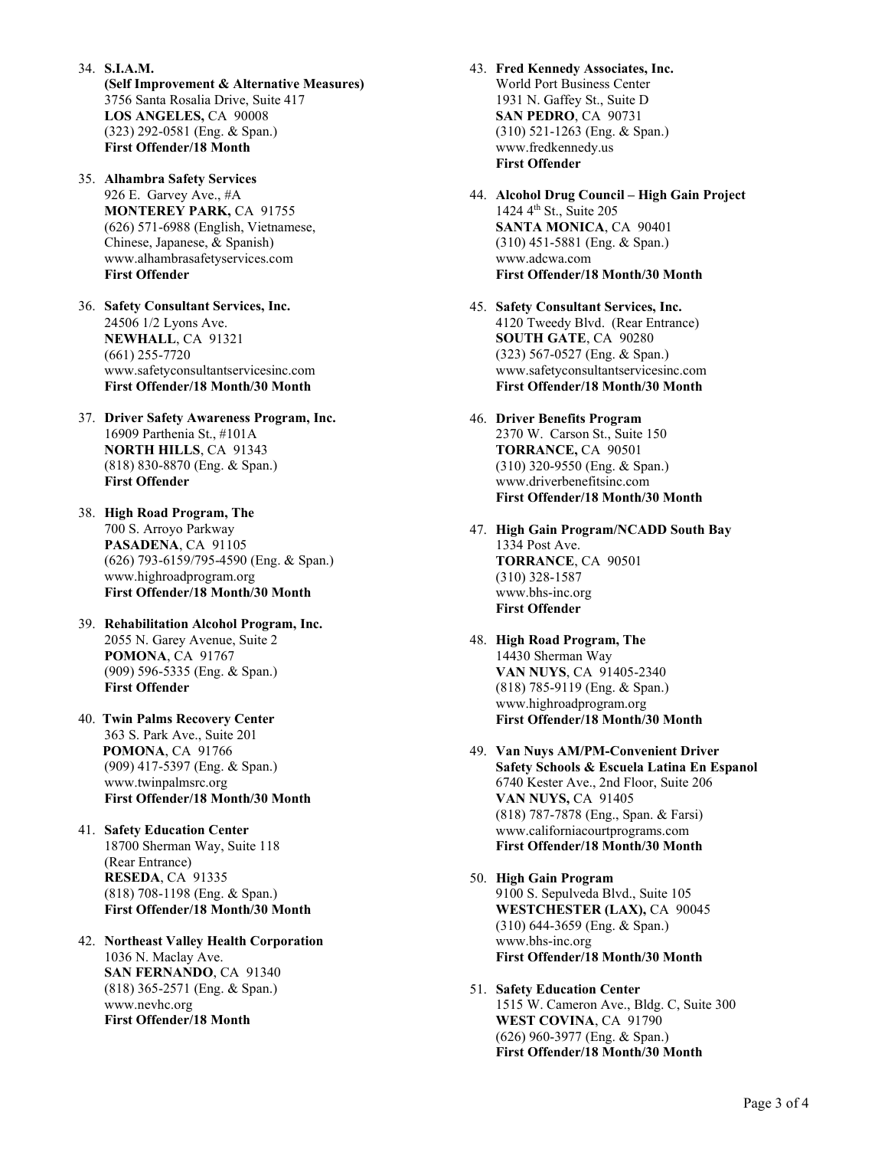- 34. S.I.A.M. (Self Improvement & Alternative Measures) 3756 Santa Rosalia Drive, Suite 417 LOS ANGELES, CA 90008 (323) 292-0581 (Eng. & Span.) First Offender/18 Month
- 35. Alhambra Safety Services 926 E. Garvey Ave., #A MONTEREY PARK, CA 91755 (626) 571-6988 (English, Vietnamese, Chinese, Japanese, & Spanish) www.alhambrasafetyservices.com First Offender
- 36. Safety Consultant Services, Inc. 24506 1/2 Lyons Ave. NEWHALL, CA 91321 (661) 255-7720 www.safetyconsultantservicesinc.com First Offender/18 Month/30 Month
- 37. Driver Safety Awareness Program, Inc. 16909 Parthenia St., #101A NORTH HILLS, CA 91343 (818) 830-8870 (Eng. & Span.) First Offender
- 38. High Road Program, The 700 S. Arroyo Parkway PASADENA, CA 91105 (626) 793-6159/795-4590 (Eng. & Span.) www.highroadprogram.org First Offender/18 Month/30 Month
- 39. Rehabilitation Alcohol Program, Inc. 2055 N. Garey Avenue, Suite 2 POMONA, CA 91767 (909) 596-5335 (Eng. & Span.) First Offender
- 40. Twin Palms Recovery Center 363 S. Park Ave., Suite 201 POMONA, CA 91766 (909) 417-5397 (Eng. & Span.) www.twinpalmsrc.org First Offender/18 Month/30 Month
- 41. Safety Education Center 18700 Sherman Way, Suite 118 (Rear Entrance) RESEDA, CA 91335 (818) 708-1198 (Eng. & Span.) First Offender/18 Month/30 Month
- 42. Northeast Valley Health Corporation 1036 N. Maclay Ave. SAN FERNANDO, CA 91340 (818) 365-2571 (Eng. & Span.) www.nevhc.org First Offender/18 Month
- 43. Fred Kennedy Associates, Inc. World Port Business Center 1931 N. Gaffey St., Suite D SAN PEDRO, CA 90731 (310) 521-1263 (Eng. & Span.) www.fredkennedy.us First Offender
- 44. Alcohol Drug Council High Gain Project 1424 4<sup>th</sup> St., Suite 205 SANTA MONICA, CA 90401 (310) 451-5881 (Eng. & Span.) www.adcwa.com First Offender/18 Month/30 Month
- 45. Safety Consultant Services, Inc. 4120 Tweedy Blvd. (Rear Entrance) SOUTH GATE, CA 90280 (323) 567-0527 (Eng. & Span.) www.safetyconsultantservicesinc.com First Offender/18 Month/30 Month
- 46. Driver Benefits Program 2370 W. Carson St., Suite 150 TORRANCE, CA 90501 (310) 320-9550 (Eng. & Span.) www.driverbenefitsinc.com First Offender/18 Month/30 Month
- 47. High Gain Program/NCADD South Bay 1334 Post Ave. TORRANCE, CA 90501 (310) 328-1587 www.bhs-inc.org First Offender
- 48. High Road Program, The 14430 Sherman Way VAN NUYS, CA 91405-2340 (818) 785-9119 (Eng. & Span.) www.highroadprogram.org First Offender/18 Month/30 Month
- 49. Van Nuys AM/PM-Convenient Driver Safety Schools & Escuela Latina En Espanol 6740 Kester Ave., 2nd Floor, Suite 206 VAN NUYS, CA 91405 (818) 787-7878 (Eng., Span. & Farsi) www.californiacourtprograms.com First Offender/18 Month/30 Month
- 50. High Gain Program 9100 S. Sepulveda Blvd., Suite 105 WESTCHESTER (LAX), CA 90045 (310) 644-3659 (Eng. & Span.) www.bhs-inc.org First Offender/18 Month/30 Month
- 51. Safety Education Center 1515 W. Cameron Ave., Bldg. C, Suite 300 WEST COVINA, CA 91790 (626) 960-3977 (Eng. & Span.) First Offender/18 Month/30 Month